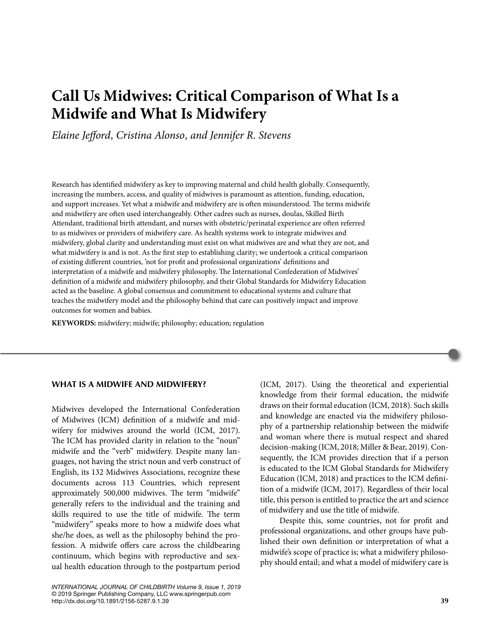# **Call Us Midwives: Critical Comparison of What Is a Midwife and What Is Midwifery**

*Elaine Jefford, Cristina Alonso, and Jennifer R. Stevens*

Research has identified midwifery as key to improving maternal and child health globally. Consequently, increasing the numbers, access, and quality of midwives is paramount as attention, funding, education, and support increases. Yet what a midwife and midwifery are is often misunderstood. The terms midwife and midwifery are often used interchangeably. Other cadres such as nurses, doulas, Skilled Birth Attendant, traditional birth attendant, and nurses with obstetric/perinatal experience are often referred to as midwives or providers of midwifery care. As health systems work to integrate midwives and midwifery, global clarity and understanding must exist on what midwives are and what they are not, and what midwifery is and is not. As the first step to establishing clarity; we undertook a critical comparison of existing different countries, 'not for profit and professional organizations' definitions and interpretation of a midwife and midwifery philosophy. The International Confederation of Midwives' definition of a midwife and midwifery philosophy, and their Global Standards for Midwifery Education acted as the baseline. A global consensus and commitment to educational systems and culture that teaches the midwifery model and the philosophy behind that care can positively impact and improve outcomes for women and babies.

**KEYWORDS:** midwifery; midwife; philosophy; education; regulation

#### **WHAT IS A MIDWIFE AND MIDWIFERY?**

Midwives developed the International Confederation of Midwives (ICM) definition of a midwife and midwifery for midwives around the world (ICM, 2017). The ICM has provided clarity in relation to the "noun" midwife and the "verb" midwifery. Despite many languages, not having the strict noun and verb construct of English, its 132 Midwives Associations, recognize these documents across 113 Countries, which represent approximately 500,000 midwives. The term "midwife" generally refers to the individual and the training and skills required to use the title of midwife. The term "midwifery" speaks more to how a midwife does what she/he does, as well as the philosophy behind the profession. A midwife offers care across the childbearing continuum, which begins with reproductive and sexual health education through to the postpartum period

Pdf\_Folio:39 http://dx.doi.org/10.1891/2156-5287.9.1.39 **39***INTERNATIONAL JOURNAL OF CHILDBIRTH Volume 9, Issue 1, 2019* © 2019 Springer Publishing Company, LLC www.springerpub.com

(ICM, 2017). Using the theoretical and experiential knowledge from their formal education, the midwife draws on their formal education (ICM, 2018). Such skills and knowledge are enacted via the midwifery philosophy of a partnership relationship between the midwife and woman where there is mutual respect and shared decision-making (ICM, 2018; Miller & Bear, 2019). Consequently, the ICM provides direction that if a person is educated to the ICM Global Standards for Midwifery Education (ICM, 2018) and practices to the ICM definition of a midwife (ICM, 2017). Regardless of their local title, this person is entitled to practice the art and science of midwifery and use the title of midwife.

Despite this, some countries, not for profit and professional organizations, and other groups have published their own definition or interpretation of what a midwife's scope of practice is; what a midwifery philosophy should entail; and what a model of midwifery care is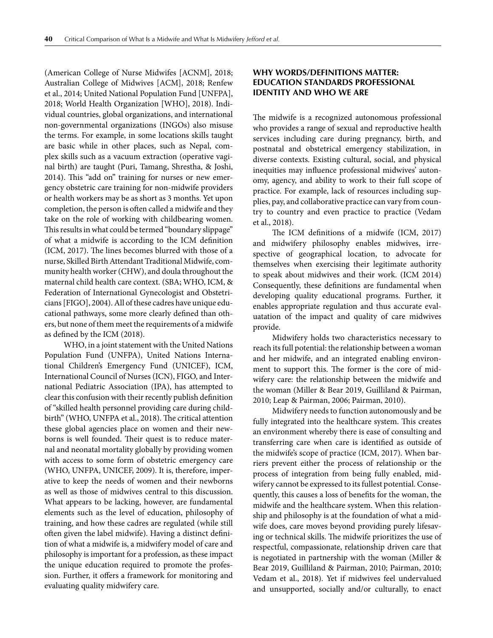(American College of Nurse Midwifes [ACNM], 2018; Australian College of Midwives [ACM], 2018; Renfew et al., 2014; United National Population Fund [UNFPA], 2018; World Health Organization [WHO], 2018). Individual countries, global organizations, and international non-governmental organizations (INGOs) also misuse the terms. For example, in some locations skills taught are basic while in other places, such as Nepal, complex skills such as a vacuum extraction (operative vaginal birth) are taught (Puri, Tamang, Shrestha, & Joshi, 2014). This "add on" training for nurses or new emergency obstetric care training for non-midwife providers or health workers may be as short as 3 months. Yet upon completion, the person is often called a midwife and they take on the role of working with childbearing women. This results in what could be termed "boundary slippage" of what a midwife is according to the ICM definition (ICM, 2017). The lines becomes blurred with those of a nurse, Skilled Birth Attendant Traditional Midwife, community health worker (CHW), and doula throughout the maternal child health care context. (SBA; WHO, ICM, & Federation of International Gynecologist and Obstetricians [FIGO], 2004). All of these cadres have unique educational pathways, some more clearly defined than others, but none of them meet the requirements of a midwife as defined by the ICM (2018).

WHO, in a joint statement with the United Nations Population Fund (UNFPA), United Nations International Children's Emergency Fund (UNICEF), ICM, International Council of Nurses (ICN), FIGO, and International Pediatric Association (IPA), has attempted to clear this confusion with their recently publish definition of "skilled health personnel providing care during childbirth" (WHO, UNFPA et al., 2018). The critical attention these global agencies place on women and their newborns is well founded. Their quest is to reduce maternal and neonatal mortality globally by providing women with access to some form of obstetric emergency care (WHO, UNFPA, UNICEF, 2009). It is, therefore, imperative to keep the needs of women and their newborns as well as those of midwives central to this discussion. What appears to be lacking, however, are fundamental elements such as the level of education, philosophy of training, and how these cadres are regulated (while still often given the label midwife). Having a distinct definition of what a midwife is, a midwifery model of care and philosophy is important for a profession, as these impact the unique education required to promote the profession. Further, it offers a framework for monitoring and evaluating quality midwifery care.

## **WHY WORDS/DEFINITIONS MATTER: EDUCATION STANDARDS PROFESSIONAL IDENTITY AND WHO WE ARE**

The midwife is a recognized autonomous professional who provides a range of sexual and reproductive health services including care during pregnancy, birth, and postnatal and obstetrical emergency stabilization, in diverse contexts. Existing cultural, social, and physical inequities may influence professional midwives' autonomy, agency, and ability to work to their full scope of practice. For example, lack of resources including supplies, pay, and collaborative practice can vary from country to country and even practice to practice (Vedam et al., 2018).

The ICM definitions of a midwife (ICM, 2017) and midwifery philosophy enables midwives, irrespective of geographical location, to advocate for themselves when exercising their legitimate authority to speak about midwives and their work. (ICM 2014) Consequently, these definitions are fundamental when developing quality educational programs. Further, it enables appropriate regulation and thus accurate evaluatation of the impact and quality of care midwives provide.

Midwifery holds two characteristics necessary to reach its full potential: the relationship between a woman and her midwife, and an integrated enabling environment to support this. The former is the core of midwifery care: the relationship between the midwife and the woman (Miller & Bear 2019, Guilliland & Pairman, 2010; Leap & Pairman, 2006; Pairman, 2010).

Midwifery needs to function autonomously and be fully integrated into the healthcare system. This creates an environment whereby there is ease of consulting and transferring care when care is identified as outside of the midwife's scope of practice (ICM, 2017). When barriers prevent either the process of relationship or the process of integration from being fully enabled, midwifery cannot be expressed to its fullest potential. Consequently, this causes a loss of benefits for the woman, the midwife and the healthcare system. When this relationship and philosophy is at the foundation of what a midwife does, care moves beyond providing purely lifesaving or technical skills. The midwife prioritizes the use of respectful, compassionate, relationship driven care that is negotiated in partnership with the woman (Miller & Bear 2019, Guilliland & Pairman, 2010; Pairman, 2010; Vedam et al., 2018). Yet if midwives feel undervalued and unsupported, socially and/or culturally, to enact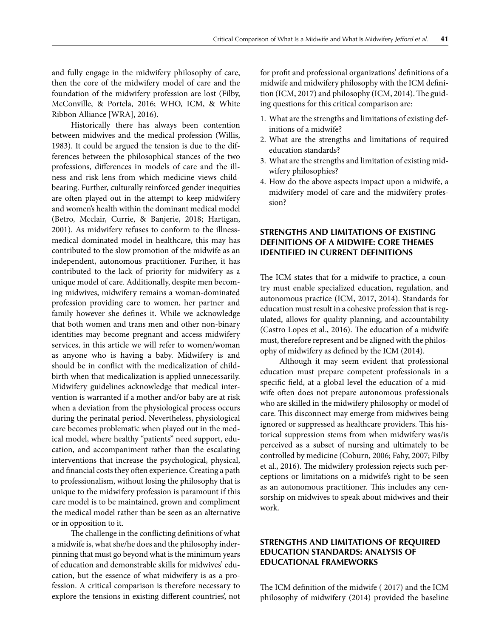and fully engage in the midwifery philosophy of care, then the core of the midwifery model of care and the foundation of the midwifery profession are lost (Filby, McConville, & Portela, 2016; WHO, ICM, & White Ribbon Alliance [WRA], 2016).

Historically there has always been contention between midwives and the medical profession (Willis, 1983). It could be argued the tension is due to the differences between the philosophical stances of the two professions, differences in models of care and the illness and risk lens from which medicine views childbearing. Further, culturally reinforced gender inequities are often played out in the attempt to keep midwifery and women's health within the dominant medical model (Betro, Mcclair, Currie, & Banjerie, 2018; Hartigan, 2001). As midwifery refuses to conform to the illnessmedical dominated model in healthcare, this may has contributed to the slow promotion of the midwife as an independent, autonomous practitioner. Further, it has contributed to the lack of priority for midwifery as a unique model of care. Additionally, despite men becoming midwives, midwifery remains a woman-dominated profession providing care to women, her partner and family however she defines it. While we acknowledge that both women and trans men and other non-binary identities may become pregnant and access midwifery services, in this article we will refer to women/woman as anyone who is having a baby. Midwifery is and should be in conflict with the medicalization of childbirth when that medicalization is applied unnecessarily. Midwifery guidelines acknowledge that medical intervention is warranted if a mother and/or baby are at risk when a deviation from the physiological process occurs during the perinatal period. Nevertheless, physiological care becomes problematic when played out in the medical model, where healthy "patients" need support, education, and accompaniment rather than the escalating interventions that increase the psychological, physical, and financial costs they often experience. Creating a path to professionalism, without losing the philosophy that is unique to the midwifery profession is paramount if this care model is to be maintained, grown and compliment the medical model rather than be seen as an alternative or in opposition to it.

The challenge in the conflicting definitions of what a midwife is, what she/he does and the philosophy inderpinning that must go beyond what is the minimum years of education and demonstrable skills for midwives' education, but the essence of what midwifery is as a profession. A critical comparison is therefore necessary to explore the tensions in existing different countries', not for profit and professional organizations' definitions of a midwife and midwifery philosophy with the ICM definition (ICM, 2017) and philosophy (ICM, 2014). The guiding questions for this critical comparison are:

- 1. What are the strengths and limitations of existing definitions of a midwife?
- 2. What are the strengths and limitations of required education standards?
- 3. What are the strengths and limitation of existing midwifery philosophies?
- 4. How do the above aspects impact upon a midwife, a midwifery model of care and the midwifery profession?

# **STRENGTHS AND LIMITATIONS OF EXISTING DEFINITIONS OF A MIDWIFE: CORE THEMES IDENTIFIED IN CURRENT DEFINITIONS**

The ICM states that for a midwife to practice, a country must enable specialized education, regulation, and autonomous practice (ICM, 2017, 2014). Standards for education must result in a cohesive profession that is regulated, allows for quality planning, and accountability (Castro Lopes et al., 2016). The education of a midwife must, therefore represent and be aligned with the philosophy of midwifery as defined by the ICM (2014).

Although it may seem evident that professional education must prepare competent professionals in a specific field, at a global level the education of a midwife often does not prepare autonomous professionals who are skilled in the midwifery philosophy or model of care. This disconnect may emerge from midwives being ignored or suppressed as healthcare providers. This historical suppression stems from when midwifery was/is perceived as a subset of nursing and ultimately to be controlled by medicine (Coburn, 2006; Fahy, 2007; Filby et al., 2016). The midwifery profession rejects such perceptions or limitations on a midwife's right to be seen as an autonomous practitioner. This includes any censorship on midwives to speak about midwives and their work.

#### **STRENGTHS AND LIMITATIONS OF REQUIRED EDUCATION STANDARDS: ANALYSIS OF EDUCATIONAL FRAMEWORKS**

The ICM definition of the midwife ( 2017) and the ICM philosophy of midwifery (2014) provided the baseline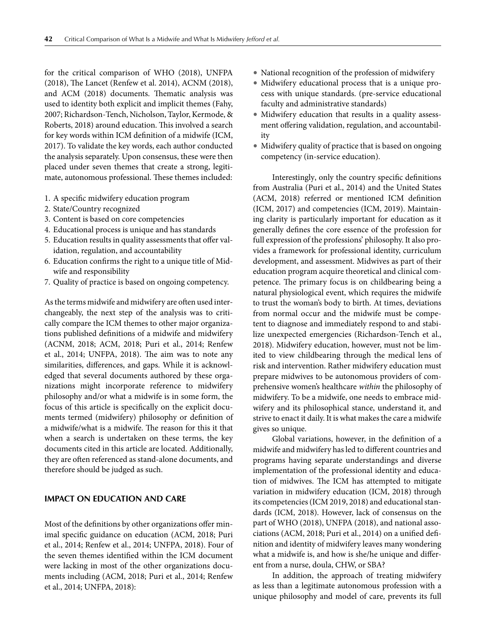for the critical comparison of WHO (2018), UNFPA (2018), The Lancet (Renfew et al. 2014), ACNM (2018), and ACM (2018) documents. Thematic analysis was used to identity both explicit and implicit themes (Fahy, 2007; Richardson-Tench, Nicholson, Taylor, Kermode, & Roberts, 2018) around education. This involved a search for key words within ICM definition of a midwife (ICM, 2017). To validate the key words, each author conducted the analysis separately. Upon consensus, these were then placed under seven themes that create a strong, legitimate, autonomous professional. These themes included:

- 1. A specific midwifery education program
- 2. State/Country recognized
- 3. Content is based on core competencies
- 4. Educational process is unique and has standards
- 5. Education results in quality assessments that offer validation, regulation, and accountability
- 6. Education confirms the right to a unique title of Midwife and responsibility
- 7. Quality of practice is based on ongoing competency.

Asthe terms midwife and midwifery are often used interchangeably, the next step of the analysis was to critically compare the ICM themes to other major organizations published definitions of a midwife and midwifery (ACNM, 2018; ACM, 2018; Puri et al., 2014; Renfew et al., 2014; UNFPA, 2018). The aim was to note any similarities, differences, and gaps. While it is acknowledged that several documents authored by these organizations might incorporate reference to midwifery philosophy and/or what a midwife is in some form, the focus of this article is specifically on the explicit documents termed (midwifery) philosophy or definition of a midwife/what is a midwife. The reason for this it that when a search is undertaken on these terms, the key documents cited in this article are located. Additionally, they are often referenced as stand-alone documents, and therefore should be judged as such.

#### **IMPACT ON EDUCATION AND CARE**

Most of the definitions by other organizations offer minimal specific guidance on education (ACM, 2018; Puri et al., 2014; Renfew et al., 2014; UNFPA, 2018). Four of the seven themes identified within the ICM document were lacking in most of the other organizations documents including (ACM, 2018; Puri et al., 2014; Renfew et al., 2014; UNFPA, 2018):

- National recognition of the profession of midwifery
- Midwifery educational process that is a unique process with unique standards. (pre-service educational faculty and administrative standards)
- Midwifery education that results in a quality assessment offering validation, regulation, and accountability
- Midwifery quality of practice that is based on ongoing competency (in-service education).

Interestingly, only the country specific definitions from Australia (Puri et al., 2014) and the United States (ACM, 2018) referred or mentioned ICM definition (ICM, 2017) and competencies (ICM, 2019). Maintaining clarity is particularly important for education as it generally defines the core essence of the profession for full expression of the professions' philosophy. It also provides a framework for professional identity, curriculum development, and assessment. Midwives as part of their education program acquire theoretical and clinical competence. The primary focus is on childbearing being a natural physiological event, which requires the midwife to trust the woman's body to birth. At times, deviations from normal occur and the midwife must be competent to diagnose and immediately respond to and stabilize unexpected emergencies (Richardson-Tench et al., 2018). Midwifery education, however, must not be limited to view childbearing through the medical lens of risk and intervention. Rather midwifery education must prepare midwives to be autonomous providers of comprehensive women's healthcare *within* the philosophy of midwifery. To be a midwife, one needs to embrace midwifery and its philosophical stance, understand it, and strive to enact it daily. It is what makes the care a midwife gives so unique.

Global variations, however, in the definition of a midwife and midwifery has led to different countries and programs having separate understandings and diverse implementation of the professional identity and education of midwives. The ICM has attempted to mitigate variation in midwifery education (ICM, 2018) through its competencies (ICM 2019, 2018) and educational standards (ICM, 2018). However, lack of consensus on the part of WHO (2018), UNFPA (2018), and national associations (ACM, 2018; Puri et al., 2014) on a unified definition and identity of midwifery leaves many wondering what a midwife is, and how is she/he unique and different from a nurse, doula, CHW, or SBA?

In addition, the approach of treating midwifery as less than a legitimate autonomous profession with a unique philosophy and model of care, prevents its full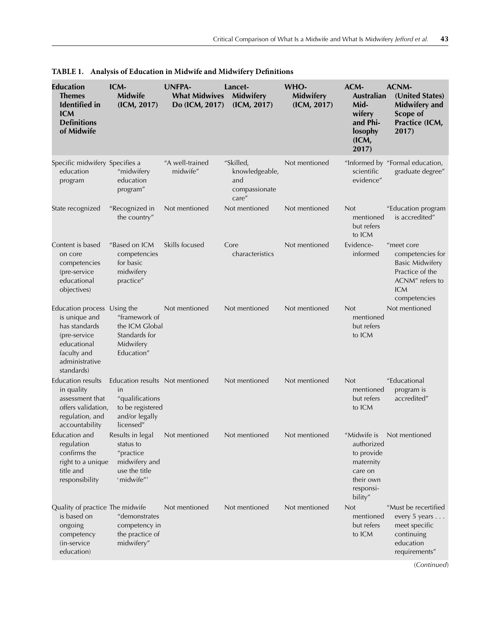| <b>Education</b><br><b>Themes</b><br><b>Identified</b> in<br><b>ICM</b><br><b>Definitions</b><br>of Midwife                                 | ICM-<br><b>Midwife</b><br>(ICM, 2017)                                                                       | <b>UNFPA-</b><br><b>What Midwives</b><br>Do (ICM, 2017) | Lancet-<br><b>Midwifery</b><br>(ICM, 2017)                   | WHO-<br>Midwifery<br>(ICM, 2017) | ACM-<br><b>Australian</b><br>Mid-<br>wifery<br>and Phi-<br>losophy<br>(ICM,<br>2017)                 | <b>ACNM-</b><br>(United States)<br><b>Midwifery and</b><br>Scope of<br>Practice (ICM,<br>2017)                               |
|---------------------------------------------------------------------------------------------------------------------------------------------|-------------------------------------------------------------------------------------------------------------|---------------------------------------------------------|--------------------------------------------------------------|----------------------------------|------------------------------------------------------------------------------------------------------|------------------------------------------------------------------------------------------------------------------------------|
| Specific midwifery Specifies a<br>education<br>program                                                                                      | "midwifery<br>education<br>program"                                                                         | "A well-trained<br>midwife"                             | "Skilled,<br>knowledgeable,<br>and<br>compassionate<br>care" | Not mentioned                    | scientific<br>evidence"                                                                              | "Informed by "Formal education,<br>graduate degree"                                                                          |
| State recognized                                                                                                                            | "Recognized in<br>the country"                                                                              | Not mentioned                                           | Not mentioned                                                | Not mentioned                    | <b>Not</b><br>mentioned<br>but refers<br>to ICM                                                      | "Education program<br>is accredited"                                                                                         |
| Content is based<br>on core<br>competencies<br>(pre-service<br>educational<br>objectives)                                                   | "Based on ICM<br>competencies<br>for basic<br>midwifery<br>practice"                                        | Skills focused                                          | Core<br>characteristics                                      | Not mentioned                    | Evidence-<br>informed                                                                                | "meet core<br>competencies for<br><b>Basic Midwifery</b><br>Practice of the<br>ACNM" refers to<br><b>ICM</b><br>competencies |
| Education process Using the<br>is unique and<br>has standards<br>(pre-service<br>educational<br>faculty and<br>administrative<br>standards) | "framework of<br>the ICM Global<br>Standards for<br>Midwifery<br>Education"                                 | Not mentioned                                           | Not mentioned                                                | Not mentioned                    | <b>Not</b><br>mentioned<br>but refers<br>to ICM                                                      | Not mentioned                                                                                                                |
| <b>Education results</b><br>in quality<br>assessment that<br>offers validation,<br>regulation, and<br>accountability                        | Education results Not mentioned<br>in<br>"qualifications<br>to be registered<br>and/or legally<br>licensed" |                                                         | Not mentioned                                                | Not mentioned                    | <b>Not</b><br>mentioned<br>but refers<br>to ICM                                                      | "Educational<br>program is<br>accredited"                                                                                    |
| Education and<br>regulation<br>confirms the<br>right to a unique<br>title and<br>responsibility                                             | Results in legal<br>status to<br>"practice<br>midwifery and<br>use the title<br>'midwife"'                  | Not mentioned                                           | Not mentioned                                                | Not mentioned                    | "Midwife is<br>authorized<br>to provide<br>maternity<br>care on<br>their own<br>responsi-<br>bility" | Not mentioned                                                                                                                |
| Quality of practice The midwife<br>is based on<br>ongoing<br>competency<br>(in-service)<br>education)                                       | "demonstrates<br>competency in<br>the practice of<br>midwifery"                                             | Not mentioned                                           | Not mentioned                                                | Not mentioned                    | <b>Not</b><br>mentioned<br>but refers<br>to ICM                                                      | "Must be recertified<br>every 5 years<br>meet specific<br>continuing<br>education<br>requirements"                           |

**TABLE 1. Analysis of Education in Midwife and Midwifery Definitions**

(*Continued*)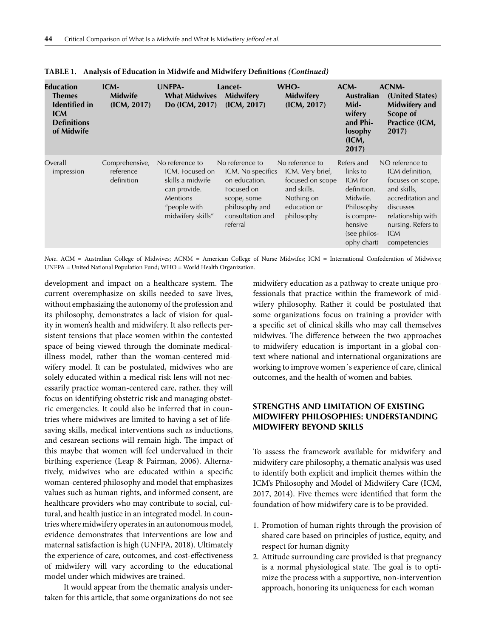| Education<br>Themes<br><b>Identified</b> in<br><b>ICM</b><br><b>Definitions</b><br>of Midwife | $ICM-$<br><b>Midwife</b><br>(ICM, 2017)   | <b>UNFPA-</b><br><b>What Midwives</b><br>Do (ICM, 2017)                                                                 | Lancet-<br><b>Midwifery</b><br>(ICM, 2017)                                                                                           | WHO-<br>Midwifery<br>(ICM, 2017)                                                                                   | ACM-<br><b>Australian</b><br>Mid-<br>wifery<br>and Phi-<br>losophy<br>(ICM,<br>2017)                                               | ACNM-<br>(United States)<br>Midwifery and<br>Scope of<br>Practice (ICM,<br>2017)                                                                                                  |
|-----------------------------------------------------------------------------------------------|-------------------------------------------|-------------------------------------------------------------------------------------------------------------------------|--------------------------------------------------------------------------------------------------------------------------------------|--------------------------------------------------------------------------------------------------------------------|------------------------------------------------------------------------------------------------------------------------------------|-----------------------------------------------------------------------------------------------------------------------------------------------------------------------------------|
| Overall<br>impression                                                                         | Comprehensive,<br>reference<br>definition | No reference to<br>ICM. Focused on<br>skills a midwife<br>can provide.<br>Mentions<br>"people with<br>midwifery skills" | No reference to<br>ICM. No specifics<br>on education.<br>Focused on<br>scope, some<br>philosophy and<br>consultation and<br>referral | No reference to<br>ICM. Very brief,<br>focused on scope<br>and skills.<br>Nothing on<br>education or<br>philosophy | Refers and<br>links to<br>ICM for<br>definition.<br>Midwife.<br>Philosophy<br>is compre-<br>hensive<br>(see philos-<br>ophy chart) | NO reference to<br>ICM definition,<br>focuses on scope,<br>and skills,<br>accreditation and<br>discusses<br>relationship with<br>nursing. Refers to<br><b>ICM</b><br>competencies |

|  |  | TABLE 1. Analysis of Education in Midwife and Midwifery Definitions (Continued) |  |  |
|--|--|---------------------------------------------------------------------------------|--|--|
|--|--|---------------------------------------------------------------------------------|--|--|

*Note*. ACM = Australian College of Midwives; ACNM = American College of Nurse Midwifes; ICM = International Confederation of Midwives; UNFPA = United National Population Fund; WHO = World Health Organization.

development and impact on a healthcare system. The current overemphasize on skills needed to save lives, without emphasizing the autonomy of the profession and its philosophy, demonstrates a lack of vision for quality in women's health and midwifery. It also reflects persistent tensions that place women within the contested space of being viewed through the dominate medicalillness model, rather than the woman-centered midwifery model. It can be postulated, midwives who are solely educated within a medical risk lens will not necessarily practice woman-centered care, rather, they will focus on identifying obstetric risk and managing obstetric emergencies. It could also be inferred that in countries where midwives are limited to having a set of lifesaving skills, medical interventions such as inductions, and cesarean sections will remain high. The impact of this maybe that women will feel undervalued in their birthing experience (Leap & Pairman, 2006). Alternatively, midwives who are educated within a specific woman-centered philosophy and model that emphasizes values such as human rights, and informed consent, are healthcare providers who may contribute to social, cultural, and health justice in an integrated model. In countries where midwifery operates in an autonomous model, evidence demonstrates that interventions are low and maternal satisfaction is high (UNFPA, 2018). Ultimately the experience of care, outcomes, and cost-effectiveness of midwifery will vary according to the educational model under which midwives are trained.

It would appear from the thematic analysis undertaken for this article, that some organizations do not see midwifery education as a pathway to create unique professionals that practice within the framework of midwifery philosophy. Rather it could be postulated that some organizations focus on training a provider with a specific set of clinical skills who may call themselves midwives. The difference between the two approaches to midwifery education is important in a global context where national and international organizations are working to improve women´s experience of care, clinical outcomes, and the health of women and babies.

## **STRENGTHS AND LIMITATION OF EXISTING MIDWIFERY PHILOSOPHIES: UNDERSTANDING MIDWIFERY BEYOND SKILLS**

To assess the framework available for midwifery and midwifery care philosophy, a thematic analysis was used to identify both explicit and implicit themes within the ICM's Philosophy and Model of Midwifery Care (ICM, 2017, 2014). Five themes were identified that form the foundation of how midwifery care is to be provided.

- 1. Promotion of human rights through the provision of shared care based on principles of justice, equity, and respect for human dignity
- 2. Attitude surrounding care provided is that pregnancy is a normal physiological state. The goal is to optimize the process with a supportive, non-intervention approach, honoring its uniqueness for each woman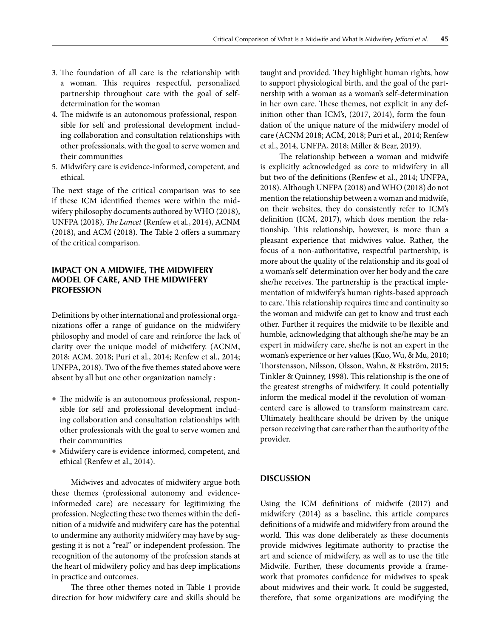- 3. The foundation of all care is the relationship with a woman. This requires respectful, personalized partnership throughout care with the goal of selfdetermination for the woman
- 4. The midwife is an autonomous professional, responsible for self and professional development including collaboration and consultation relationships with other professionals, with the goal to serve women and their communities
- 5. Midwifery care is evidence-informed, competent, and ethical.

The next stage of the critical comparison was to see if these ICM identified themes were within the midwifery philosophy documents authored by WHO (2018), UNFPA (2018), *The Lancet* (Renfew et al., 2014), ACNM (2018), and ACM (2018). The Table 2 offers a summary of the critical comparison.

## **IMPACT ON A MIDWIFE, THE MIDWIFERY MODEL OF CARE, AND THE MIDWIFERY PROFESSION**

Definitions by other international and professional organizations offer a range of guidance on the midwifery philosophy and model of care and reinforce the lack of clarity over the unique model of midwifery. (ACNM, 2018; ACM, 2018; Puri et al., 2014; Renfew et al., 2014; UNFPA, 2018). Two of the five themes stated above were absent by all but one other organization namely :

- The midwife is an autonomous professional, responsible for self and professional development including collaboration and consultation relationships with other professionals with the goal to serve women and their communities
- Midwifery care is evidence-informed, competent, and ethical (Renfew et al., 2014).

Midwives and advocates of midwifery argue both these themes (professional autonomy and evidenceinformeded care) are necessary for legitimizing the profession. Neglecting these two themes within the definition of a midwife and midwifery care has the potential to undermine any authority midwifery may have by suggesting it is not a "real" or independent profession. The recognition of the autonomy of the profession stands at the heart of midwifery policy and has deep implications in practice and outcomes.

The three other themes noted in Table 1 provide direction for how midwifery care and skills should be

taught and provided. They highlight human rights, how to support physiological birth, and the goal of the partnership with a woman as a woman's self-determination in her own care. These themes, not explicit in any definition other than ICM's, (2017, 2014), form the foundation of the unique nature of the midwifery model of care (ACNM 2018; ACM, 2018; Puri et al., 2014; Renfew et al., 2014, UNFPA, 2018; Miller & Bear, 2019).

The relationship between a woman and midwife is explicitly acknowledged as core to midwifery in all but two of the definitions (Renfew et al., 2014; UNFPA, 2018). Although UNFPA (2018) andWHO (2018) do not mention the relationship between a woman and midwife, on their websites, they do consistently refer to ICM's definition (ICM, 2017), which does mention the relationship. This relationship, however, is more than a pleasant experience that midwives value. Rather, the focus of a non-authoritative, respectful partnership, is more about the quality of the relationship and its goal of a woman's self-determination over her body and the care she/he receives. The partnership is the practical implementation of midwifery's human rights-based approach to care. This relationship requires time and continuity so the woman and midwife can get to know and trust each other. Further it requires the midwife to be flexible and humble, acknowledging that although she/he may be an expert in midwifery care, she/he is not an expert in the woman's experience or her values (Kuo, Wu, & Mu, 2010; Thorstensson, Nilsson, Olsson, Wahn, & Ekström, 2015; Tinkler & Quinney, 1998). This relationship is the one of the greatest strengths of midwifery. It could potentially inform the medical model if the revolution of womancenterd care is allowed to transform mainstream care. Ultimately healthcare should be driven by the unique person receiving that care rather than the authority of the provider.

## **DISCUSSION**

Using the ICM definitions of midwife (2017) and midwifery (2014) as a baseline, this article compares definitions of a midwife and midwifery from around the world. This was done deliberately as these documents provide midwives legitimate authority to practise the art and science of midwifery, as well as to use the title Midwife. Further, these documents provide a framework that promotes confidence for midwives to speak about midwives and their work. It could be suggested, therefore, that some organizations are modifying the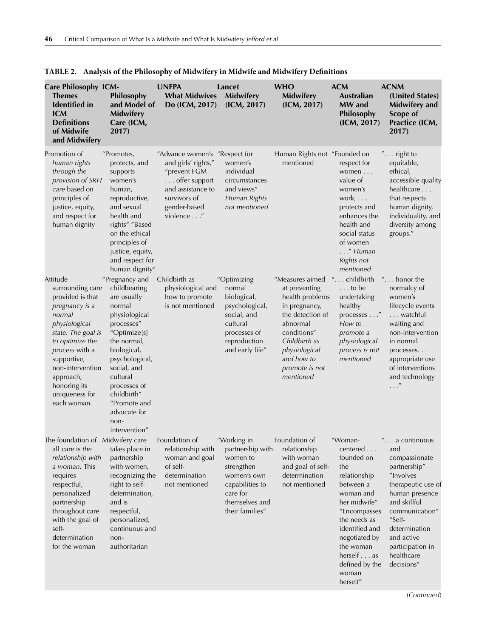| <b>Care Philosophy ICM-</b><br><b>Themes</b><br><b>Identified</b> in<br><b>ICM</b><br><b>Definitions</b><br>of Midwife<br>and Midwifery                                                                                                                   | Philosophy<br>and Model of<br><b>Midwifery</b><br>Care (ICM,<br>2017)                                                                                                                                                                                                     | UNFPA-<br><b>What Midwives</b><br>Do (ICM, 2017)                                                                                                        | Lancet<br>Midwifery<br>(ICM, 2017)                                                                                                           | $WHO -$<br>Midwifery<br>(ICM, 2017)                                                                                                                                                                | $ACM$ —<br><b>Australian</b><br>MW and<br>Philosophy<br>(ICM, 2017)                                                                                                                                                                     | ACNM<br>(United States)<br>Midwifery and<br>Scope of<br>Practice (ICM,<br>2017)                                                                                                                                                        |
|-----------------------------------------------------------------------------------------------------------------------------------------------------------------------------------------------------------------------------------------------------------|---------------------------------------------------------------------------------------------------------------------------------------------------------------------------------------------------------------------------------------------------------------------------|---------------------------------------------------------------------------------------------------------------------------------------------------------|----------------------------------------------------------------------------------------------------------------------------------------------|----------------------------------------------------------------------------------------------------------------------------------------------------------------------------------------------------|-----------------------------------------------------------------------------------------------------------------------------------------------------------------------------------------------------------------------------------------|----------------------------------------------------------------------------------------------------------------------------------------------------------------------------------------------------------------------------------------|
| Promotion of<br>human rights<br>through the<br>provision of SRH<br>care based on<br>principles of<br>justice, equity,<br>and respect for<br>human dignity                                                                                                 | "Promotes,<br>protects, and<br>supports<br>women's<br>human,<br>reproductive,<br>and sexual<br>health and<br>rights" "Based<br>on the ethical<br>principles of<br>justice, equity,<br>and respect for<br>human dignity"                                                   | "Advance women's "Respect for<br>and girls' rights,"<br>"prevent FGM<br>offer support<br>and assistance to<br>survivors of<br>gender-based<br>violence" | women's<br>individual<br>circumstances<br>and views"<br>Human Rights<br>not mentioned                                                        | Human Rights not "Founded on<br>mentioned                                                                                                                                                          | respect for<br>women<br>value of<br>women's<br>work, $\ldots$<br>protects and<br>enhances the<br>health and<br>social status<br>of women<br>$\ldots$ ." Human<br>Rights not<br>mentioned                                                | $"$ right to<br>equitable,<br>ethical,<br>accessible quality<br>healthcare<br>that respects<br>human dignity,<br>individuality, and<br>diversity among<br>groups."                                                                     |
| Attitude<br>surrounding care<br>provided is that<br>pregnancy is a<br>normal<br>physiological<br>state. The goal is<br>to optimize the<br>process with a<br>supportive,<br>non-intervention<br>approach,<br>honoring its<br>uniqueness for<br>each woman. | "Pregnancy and<br>childbearing<br>are usually<br>normal<br>physiological<br>processes"<br>"Optimize[s]<br>the normal,<br>biological,<br>psychological,<br>social, and<br>cultural<br>processes of<br>childbirth"<br>"Promote and<br>advocate for<br>non-<br>intervention" | Childbirth as<br>physiological and<br>how to promote<br>is not mentioned                                                                                | "Optimizing<br>normal<br>biological,<br>psychological,<br>social, and<br>cultural<br>processes of<br>reproduction<br>and early life"         | "Measures aimed<br>at preventing<br>health problems<br>in pregnancy,<br>the detection of<br>abnormal<br>conditions"<br>Childbirth as<br>physiological<br>and how to<br>promote is not<br>mentioned | "childbirth<br>$\ldots$ to be<br>undertaking<br>healthy<br>processes "<br>How to<br>promote a<br>physiological<br>process is not<br>mentioned                                                                                           | " $\dots$ honor the<br>normalcy of<br>women's<br>lifecycle events<br>watchful<br>waiting and<br>non-intervention<br>in normal<br>processes<br>appropriate use<br>of interventions<br>and technology<br>$\ldots$ "                      |
| The foundation of Midwifery care<br>all care is the<br>relationship with<br>a woman. This<br>requires<br>respectful,<br>personalized<br>partnership<br>throughout care<br>with the goal of<br>self-<br>determination<br>for the woman                     | takes place in<br>partnership<br>with women,<br>recognizing the<br>right to self-<br>determination,<br>and is<br>respectful,<br>personalized,<br>continuous and<br>non-<br>authoritarian                                                                                  | Foundation of<br>relationship with<br>woman and goal<br>of self-<br>determination<br>not mentioned                                                      | "Working in<br>partnership with<br>women to<br>strengthen<br>women's own<br>capabilities to<br>care for<br>themselves and<br>their families" | Foundation of<br>relationship<br>with woman<br>and goal of self-<br>determination<br>not mentioned                                                                                                 | "Woman-<br>centered<br>founded on<br>the<br>relationship<br>between a<br>woman and<br>her midwife"<br>"Encompasses<br>the needs as<br>identified and<br>negotiated by<br>the woman<br>herself as<br>defined by the<br>woman<br>herself" | . a continuous<br>and<br>compassionate<br>partnership"<br>"Involves<br>therapeutic use of<br>human presence<br>and skillful<br>communication"<br>"Self-<br>determination<br>and active<br>participation in<br>healthcare<br>decisions" |

|  |  |  |  |  | TABLE 2. Analysis of the Philosophy of Midwifery in Midwife and Midwifery Definitions |
|--|--|--|--|--|---------------------------------------------------------------------------------------|
|--|--|--|--|--|---------------------------------------------------------------------------------------|

(*Continued*)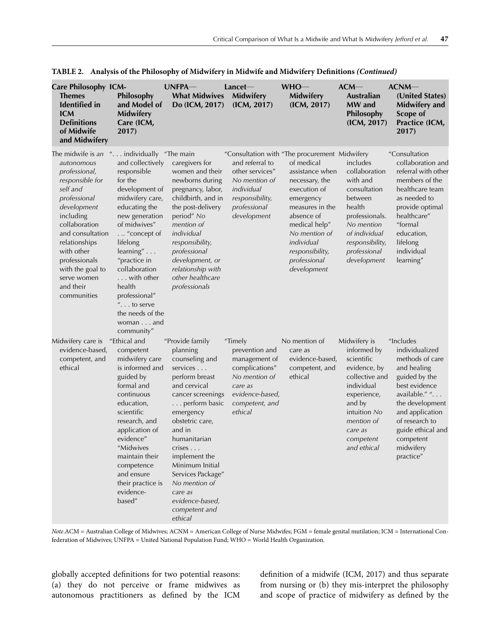| <b>Care Philosophy ICM-</b><br>Themes<br><b>Identified</b> in<br><b>ICM</b><br><b>Definitions</b><br>of Midwife<br>and Midwifery                                                                                                                                                | Philosophy<br>and Model of<br><b>Midwifery</b><br>Care (ICM,<br>2017)                                                                                                                                                                                                                                                                                        | UNFPA-<br><b>What Midwives</b><br>Do (ICM, 2017)                                                                                                                                                                                                                                                                                          | Lancet<br><b>Midwifery</b><br>(ICM, 2017)                                                                                                | $WHO-$<br>Midwifery<br>(ICM, 2017)                                                                                                                                                                                                                               | ACM<br><b>Australian</b><br>MW and<br>Philosophy<br>(ICM, 2017)                                                                                                                         | ACNM<br>(United States)<br>Midwifery and<br>Scope of<br>Practice (ICM,<br>2017)                                                                                                                                                       |
|---------------------------------------------------------------------------------------------------------------------------------------------------------------------------------------------------------------------------------------------------------------------------------|--------------------------------------------------------------------------------------------------------------------------------------------------------------------------------------------------------------------------------------------------------------------------------------------------------------------------------------------------------------|-------------------------------------------------------------------------------------------------------------------------------------------------------------------------------------------------------------------------------------------------------------------------------------------------------------------------------------------|------------------------------------------------------------------------------------------------------------------------------------------|------------------------------------------------------------------------------------------------------------------------------------------------------------------------------------------------------------------------------------------------------------------|-----------------------------------------------------------------------------------------------------------------------------------------------------------------------------------------|---------------------------------------------------------------------------------------------------------------------------------------------------------------------------------------------------------------------------------------|
| The midwife is an<br>autonomous<br>professional,<br>responsible for<br>self and<br>professional<br>development<br>including<br>collaboration<br>and consultation<br>relationships<br>with other<br>professionals<br>with the goal to<br>serve women<br>and their<br>communities | " individually "The main"<br>and collectively<br>responsible<br>for the<br>development of<br>midwifery care,<br>educating the<br>new generation<br>of midwives"<br>.  "concept of<br>lifelong<br>$learning'' \dots$<br>"practice in<br>collaboration<br>with other<br>health<br>professional"<br>$"$ to serve<br>the needs of the<br>woman and<br>community" | caregivers for<br>women and their<br>newborns during<br>pregnancy, labor,<br>childbirth, and in<br>the post-delivery<br>period" No<br>mention of<br>individual<br>responsibility,<br>professional<br>development, or<br>relationship with<br>other healthcare<br>professionals                                                            | and referral to<br>other services"<br>No mention of<br>individual<br>responsibility,<br>professional<br>development                      | "Consultation with "The procurement Midwifery<br>of medical<br>assistance when<br>necessary, the<br>execution of<br>emergency<br>measures in the<br>absence of<br>medical help"<br>No mention of<br>individual<br>responsibility,<br>professional<br>development | includes<br>collaboration<br>with and<br>consultation<br>between<br>health<br>professionals.<br>No mention<br>of individual<br>responsibility,<br>professional<br>development           | "Consultation<br>collaboration and<br>referral with other<br>members of the<br>healthcare team<br>as needed to<br>provide optimal<br>healthcare"<br>"formal<br>education,<br>lifelong<br>individual<br>learning"                      |
| Midwifery care is<br>evidence-based,<br>competent, and<br>ethical                                                                                                                                                                                                               | "Ethical and<br>competent<br>midwifery care<br>is informed and<br>guided by<br>formal and<br>continuous<br>education,<br>scientific<br>research, and<br>application of<br>evidence"<br>"Midwives<br>maintain their<br>competence<br>and ensure<br>their practice is<br>evidence-<br>based"                                                                   | "Provide family<br>planning<br>counseling and<br>services<br>perform breast<br>and cervical<br>cancer screenings<br>perform basic<br>emergency<br>obstetric care,<br>and in<br>humanitarian<br>crises<br>implement the<br>Minimum Initial<br>Services Package"<br>No mention of<br>care as<br>evidence-based,<br>competent and<br>ethical | "Timely<br>prevention and<br>management of<br>complications"<br>No mention of<br>care as<br>evidence-based,<br>competent, and<br>ethical | No mention of<br>care as<br>evidence-based,<br>competent, and<br>ethical                                                                                                                                                                                         | Midwifery is<br>informed by<br>scientific<br>evidence, by<br>collective and<br>individual<br>experience,<br>and by<br>intuition No<br>mention of<br>care as<br>competent<br>and ethical | "Includes<br>individualized<br>methods of care<br>and healing<br>guided by the<br>best evidence<br>available." ".<br>the development<br>and application<br>of research to<br>guide ethical and<br>competent<br>midwifery<br>practice" |

**TABLE 2. Analysis of the Philosophy of Midwifery in Midwife and Midwifery Definitions** *(Continued)*

*Note*.ACM = Australian College of Midwives; ACNM = American College of Nurse Midwifes; FGM = female genital mutilation; ICM = International Confederation of Midwives; UNFPA = United National Population Fund; WHO = World Health Organization.

globally accepted definitions for two potential reasons: (a) they do not perceive or frame midwives as autonomous practitioners as defined by the ICM definition of a midwife (ICM, 2017) and thus separate from nursing or (b) they mis-interpret the philosophy and scope of practice of midwifery as defined by the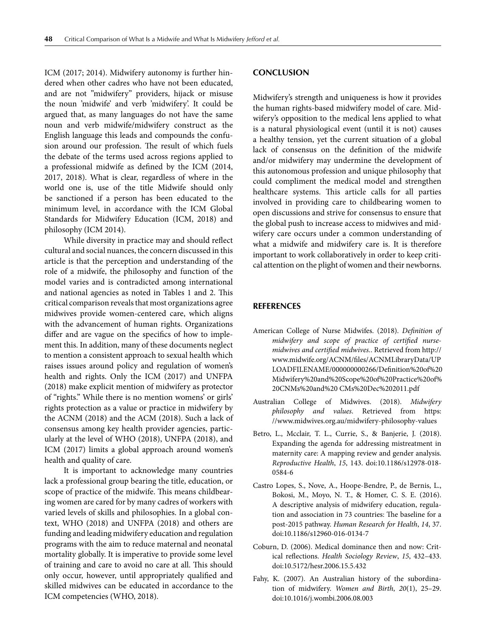ICM (2017; 2014). Midwifery autonomy is further hindered when other cadres who have not been educated, and are not "midwifery" providers, hijack or misuse the noun 'midwife' and verb 'midwifery'. It could be argued that, as many languages do not have the same noun and verb midwife/midwifery construct as the English language this leads and compounds the confusion around our profession. The result of which fuels the debate of the terms used across regions applied to a professional midwife as defined by the ICM (2014, 2017, 2018). What is clear, regardless of where in the world one is, use of the title Midwife should only be sanctioned if a person has been educated to the minimum level, in accordance with the ICM Global Standards for Midwifery Education (ICM, 2018) and philosophy (ICM 2014).

While diversity in practice may and should reflect cultural and social nuances, the concern discussed in this article is that the perception and understanding of the role of a midwife, the philosophy and function of the model varies and is contradicted among international and national agencies as noted in Tables 1 and 2. This critical comparison reveals that most organizations agree midwives provide women-centered care, which aligns with the advancement of human rights. Organizations differ and are vague on the specifics of how to implement this. In addition, many of these documents neglect to mention a consistent approach to sexual health which raises issues around policy and regulation of women's health and rights. Only the ICM (2017) and UNFPA (2018) make explicit mention of midwifery as protector of "rights." While there is no mention womens' or girls' rights protection as a value or practice in midwifery by the ACNM (2018) and the ACM (2018). Such a lack of consensus among key health provider agencies, particularly at the level of WHO (2018), UNFPA (2018), and ICM (2017) limits a global approach around women's health and quality of care.

It is important to acknowledge many countries lack a professional group bearing the title, education, or scope of practice of the midwife. This means childbearing women are cared for by many cadres of workers with varied levels of skills and philosophies. In a global context, WHO (2018) and UNFPA (2018) and others are funding and leading midwifery education and regulation programs with the aim to reduce maternal and neonatal mortality globally. It is imperative to provide some level of training and care to avoid no care at all. This should only occur, however, until appropriately qualified and skilled midwives can be educated in accordance to the ICM competencies (WHO, 2018).

## **CONCLUSION**

Midwifery's strength and uniqueness is how it provides the human rights-based midwifery model of care. Midwifery's opposition to the medical lens applied to what is a natural physiological event (until it is not) causes a healthy tension, yet the current situation of a global lack of consensus on the definition of the midwife and/or midwifery may undermine the development of this autonomous profession and unique philosophy that could compliment the medical model and strengthen healthcare systems. This article calls for all parties involved in providing care to childbearing women to open discussions and strive for consensus to ensure that the global push to increase access to midwives and midwifery care occurs under a common understanding of what a midwife and midwifery care is. It is therefore important to work collaboratively in order to keep critical attention on the plight of women and their newborns.

#### **REFERENCES**

- American College of Nurse Midwifes. (2018). *Definition of midwifery and scope of practice of certified nursemidwives and certified midwives.*. Retrieved from http:// www.midwife.org/ACNM/files/ACNMLibraryData/UP LOADFILENAME/000000000266/Definition%20of%20 Midwifery%20and%20Scope%20of%20Practice%20of% 20CNMs%20and%20 CMs%20Dec%202011.pdf
- Australian College of Midwives. (2018). *Midwifery philosophy and values*. Retrieved from https: //www.midwives.org.au/midwifery-philosophy-values
- Betro, L., Mcclair, T. L., Currie, S., & Banjerie, J. (2018). Expanding the agenda for addressing mistreatment in maternity care: A mapping review and gender analysis. *Reproductive Health*, *15*, 143. doi:10.1186/s12978-018- 0584-6
- Castro Lopes, S., Nove, A., Hoope-Bendre, P., de Bernis, L., Bokosi, M., Moyo, N. T., & Homer, C. S. E. (2016). A descriptive analysis of midwifery education, regulation and association in 73 countries: The baseline for a post-2015 pathway. *Human Research for Health*, *14*, 37. doi:10.1186/s12960-016-0134-7
- Coburn, D. (2006). Medical dominance then and now: Critical reflections. *Health Sociology Review*, *15*, 432–433. doi:10.5172/hesr.2006.15.5.432
- Fahy, K. (2007). An Australian history of the subordination of midwifery. *Women and Birth*, *20*(1), 25–29. doi:10.1016/j.wombi.2006.08.003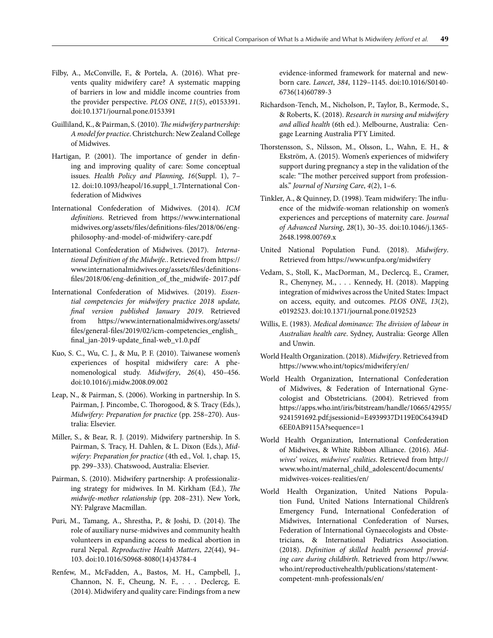- Filby, A., McConville, F., & Portela, A. (2016). What prevents quality midwifery care? A systematic mapping of barriers in low and middle income countries from the provider perspective. *PLOS ONE*, *11*(5), e0153391. doi:10.1371/journal.pone.0153391
- Guilliland, K., & Pairman, S. (2010).*The midwifery partnership: A model for practice*. Christchurch: New Zealand College of Midwives.
- Hartigan, P. (2001). The importance of gender in defining and improving quality of care: Some conceptual issues. *Health Policy and Planning*, *16*(Suppl. 1), 7– 12. doi:10.1093/heapol/16.suppl\_1.7International Confederation of Midwives
- International Confederation of Midwives. (2014). *ICM definitions*. Retrieved from https://www.international midwives.org/assets/files/definitions-files/2018/06/engphilosophy-and-model-of-midwifery-care.pdf
- International Confederation of Midwives. (2017). *International Definition of the Midwife.*. Retrieved from https:// www.internationalmidwives.org/assets/files/definitionsfiles/2018/06/eng-definition\_of\_the\_midwife- 2017.pdf
- International Confederation of Midwives. (2019). *Essential competencies for midwifery practice 2018 update, final version published January 2019*. Retrieved from https://www.internationalmidwives.org/assets/ files/general-files/2019/02/icm-competencies\_english\_ final\_jan-2019-update\_final-web\_v1.0.pdf
- Kuo, S. C., Wu, C. J., & Mu, P. F. (2010). Taiwanese women's experiences of hospital midwifery care: A phenomenological study. *Midwifery*, *26*(4), 450–456. doi:10.1016/j.midw.2008.09.002
- Leap, N., & Pairman, S. (2006). Working in partnership. In S. Pairman, J. Pincombe, C. Thorogood, & S. Tracy (Eds.), *Midwifery: Preparation for practice* (pp. 258–270). Australia: Elsevier.
- Miller, S., & Bear, R. J. (2019). Midwifery partnership. In S. Pairman, S. Tracy, H. Dahlen, & L. Dixon (Eds.), *Midwifery: Preparation for practice* (4th ed., Vol. 1, chap. 15, pp. 299–333). Chatswood, Australia: Elsevier.
- Pairman, S. (2010). Midwifery partnership: A professionalizing strategy for midwives. In M. Kirkham (Ed.), *The midwife-mother relationship* (pp. 208–231). New York, NY: Palgrave Macmillan.
- Puri, M., Tamang, A., Shrestha, P., & Joshi, D. (2014). The role of auxiliary nurse-midwives and community health volunteers in expanding access to medical abortion in rural Nepal. *Reproductive Health Matters*, *22*(44), 94– 103. doi:10.1016/S0968-8080(14)43784-4
- Renfew, M., McFadden, A., Bastos, M. H., Campbell, J., Channon, N. F., Cheung, N. F., . . . Declercg, E. (2014). Midwifery and quality care: Findings from a new

evidence-informed framework for maternal and newborn care. *Lancet*, *384*, 1129–1145. doi:10.1016/S0140- 6736(14)60789-3

- Richardson-Tench, M., Nicholson, P., Taylor, B., Kermode, S., & Roberts, K. (2018). *Research in nursing and midwifery and allied health* (6th ed.). Melbourne, Australia: Cengage Learning Australia PTY Limited.
- Thorstensson, S., Nilsson, M., Olsson, L., Wahn, E. H., & Ekström, A. (2015). Women's experiences of midwifery support during pregnancy a step in the validation of the scale: "The mother perceived support from professionals." *Journal of Nursing Care*, *4*(2), 1–6.
- Tinkler, A., & Quinney, D. (1998). Team midwifery: The influence of the midwife-woman relationship on women's experiences and perceptions of maternity care. *Journal of Advanced Nursing*, *28*(1), 30–35. doi:10.1046/j.1365- 2648.1998.00769.x
- United National Population Fund. (2018). *Midwifery*. Retrieved from https://www.unfpa.org/midwifery
- Vedam, S., Stoll, K., MacDorman, M., Declercq, E., Cramer, R., Chenyney, M., . . . Kennedy, H. (2018). Mapping integration of midwives across the United States: Impact on access, equity, and outcomes. *PLOS ONE*, *13*(2), e0192523. doi:10.1371/journal.pone.0192523
- Willis, E. (1983). *Medical dominance: The division of labour in Australian health care*. Sydney, Australia: George Allen and Unwin.
- World Health Organization. (2018). *Midwifery*. Retrieved from https://www.who.int/topics/midwifery/en/
- World Health Organization, International Confederation of Midwives, & Federation of International Gynecologist and Obstetricians. (2004). Retrieved from https://apps.who.int/iris/bitstream/handle/10665/42955/ 9241591692.pdf;jsessionid=E4939937D119E0C64394D 6EE0AB9115A?sequence=1
- World Health Organization, International Confederation of Midwives, & White Ribbon Alliance. (2016). *Midwives' voices, midwives' realities*. Retrieved from http:// www.who.int/maternal\_child\_adolescent/documents/ midwives-voices-realities/en/
- World Health Organization, United Nations Population Fund, United Nations International Children's Emergency Fund, International Confederation of Midwives, International Confederation of Nurses, Federation of International Gynaecologists and Obstetricians, & International Pediatrics Association. (2018). *Definition of skilled health personnel providing care during childbirth*. Retrieved from http://www. who.int/reproductivehealth/publications/statementcompetent-mnh-professionals/en/